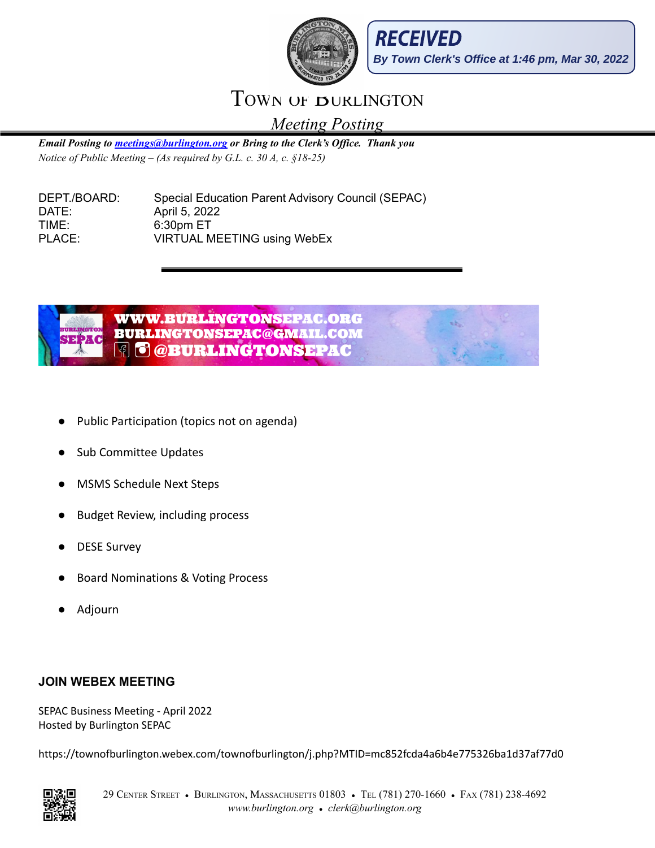



## TOWN OF **BURLINGTON**

*Meeting Posting*

*Email Posting to [meetings@burlington.org](mailto:meetings@burlington.org) or Bring to the Clerk's Of ice. Thank you Notice of Public Meeting – (As required by G.L. c. 30 A, c. §18-25)*

DEPT./BOARD: Special Education Parent Advisory Council (SEPAC) DATE: April 5, 2022 TIME: 6:30pm ET PLACE: VIRTUAL MEETING using WebEx



- Public Participation (topics not on agenda)
- Sub Committee Updates
- **MSMS Schedule Next Steps**
- **Budget Review, including process**
- DESE Survey
- Board Nominations & Voting Process
- **Adjourn**

### **JOIN WEBEX MEETING**

SEPAC Business Meeting - April 2022 Hosted by Burlington SEPAC

https://townofburlington.webex.com/townofburlington/j.php?MTID=mc852fcda4a6b4e775326ba1d37af77d0